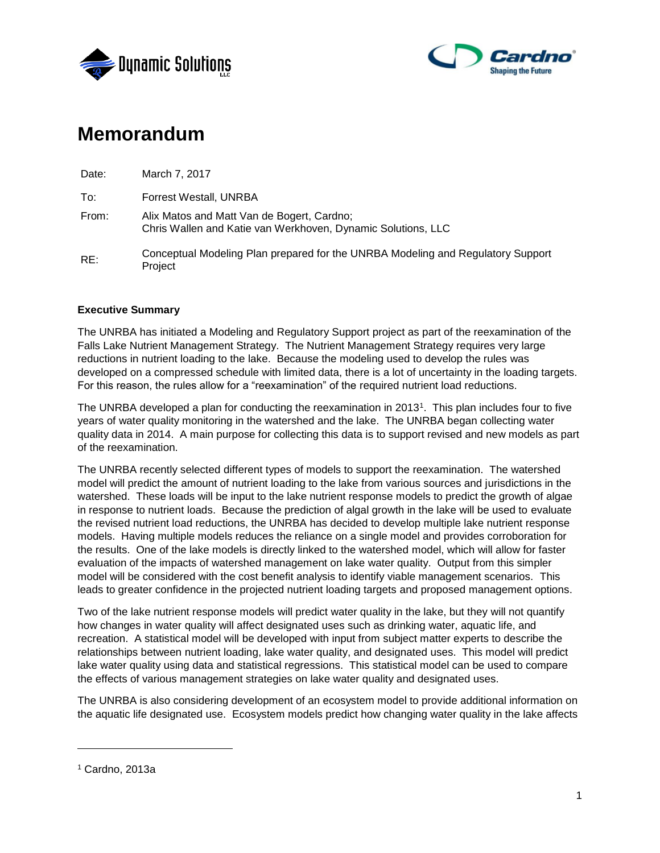



# **Memorandum**

| Date: | March 7, 2017                                                                                              |
|-------|------------------------------------------------------------------------------------------------------------|
| To:   | Forrest Westall, UNRBA                                                                                     |
| From: | Alix Matos and Matt Van de Bogert, Cardno;<br>Chris Wallen and Katie van Werkhoven, Dynamic Solutions, LLC |
| RE:   | Conceptual Modeling Plan prepared for the UNRBA Modeling and Regulatory Support<br>Project                 |

## **Executive Summary**

The UNRBA has initiated a Modeling and Regulatory Support project as part of the reexamination of the Falls Lake Nutrient Management Strategy. The Nutrient Management Strategy requires very large reductions in nutrient loading to the lake. Because the modeling used to develop the rules was developed on a compressed schedule with limited data, there is a lot of uncertainty in the loading targets. For this reason, the rules allow for a "reexamination" of the required nutrient load reductions.

The UNRBA developed a plan for conducting the reexamination in 2013<sup>1</sup>. This plan includes four to five years of water quality monitoring in the watershed and the lake. The UNRBA began collecting water quality data in 2014. A main purpose for collecting this data is to support revised and new models as part of the reexamination.

The UNRBA recently selected different types of models to support the reexamination. The watershed model will predict the amount of nutrient loading to the lake from various sources and jurisdictions in the watershed. These loads will be input to the lake nutrient response models to predict the growth of algae in response to nutrient loads. Because the prediction of algal growth in the lake will be used to evaluate the revised nutrient load reductions, the UNRBA has decided to develop multiple lake nutrient response models. Having multiple models reduces the reliance on a single model and provides corroboration for the results. One of the lake models is directly linked to the watershed model, which will allow for faster evaluation of the impacts of watershed management on lake water quality. Output from this simpler model will be considered with the cost benefit analysis to identify viable management scenarios. This leads to greater confidence in the projected nutrient loading targets and proposed management options.

Two of the lake nutrient response models will predict water quality in the lake, but they will not quantify how changes in water quality will affect designated uses such as drinking water, aquatic life, and recreation. A statistical model will be developed with input from subject matter experts to describe the relationships between nutrient loading, lake water quality, and designated uses. This model will predict lake water quality using data and statistical regressions. This statistical model can be used to compare the effects of various management strategies on lake water quality and designated uses.

The UNRBA is also considering development of an ecosystem model to provide additional information on the aquatic life designated use. Ecosystem models predict how changing water quality in the lake affects

l

<sup>1</sup> Cardno, 2013a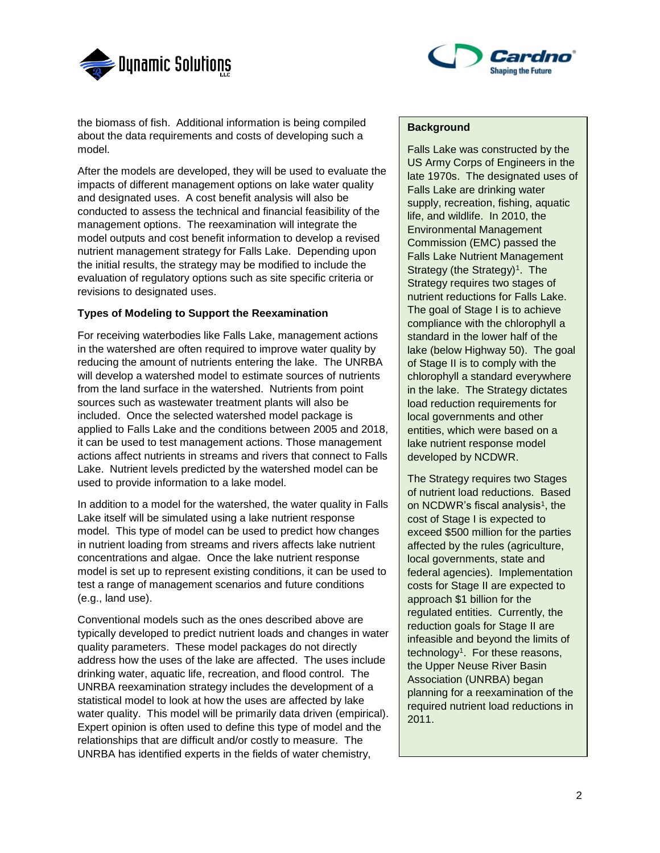



the biomass of fish. Additional information is being compiled about the data requirements and costs of developing such a model.

After the models are developed, they will be used to evaluate the impacts of different management options on lake water quality and designated uses. A cost benefit analysis will also be conducted to assess the technical and financial feasibility of the management options. The reexamination will integrate the model outputs and cost benefit information to develop a revised nutrient management strategy for Falls Lake. Depending upon the initial results, the strategy may be modified to include the evaluation of regulatory options such as site specific criteria or revisions to designated uses.

## **Types of Modeling to Support the Reexamination**

For receiving waterbodies like Falls Lake, management actions in the watershed are often required to improve water quality by reducing the amount of nutrients entering the lake. The UNRBA will develop a watershed model to estimate sources of nutrients from the land surface in the watershed. Nutrients from point sources such as wastewater treatment plants will also be included. Once the selected watershed model package is applied to Falls Lake and the conditions between 2005 and 2018, it can be used to test management actions. Those management actions affect nutrients in streams and rivers that connect to Falls Lake. Nutrient levels predicted by the watershed model can be used to provide information to a lake model.

In addition to a model for the watershed, the water quality in Falls Lake itself will be simulated using a lake nutrient response model. This type of model can be used to predict how changes in nutrient loading from streams and rivers affects lake nutrient concentrations and algae. Once the lake nutrient response model is set up to represent existing conditions, it can be used to test a range of management scenarios and future conditions (e.g., land use).

Conventional models such as the ones described above are typically developed to predict nutrient loads and changes in water quality parameters. These model packages do not directly address how the uses of the lake are affected. The uses include drinking water, aquatic life, recreation, and flood control. The UNRBA reexamination strategy includes the development of a statistical model to look at how the uses are affected by lake water quality. This model will be primarily data driven (empirical). Expert opinion is often used to define this type of model and the relationships that are difficult and/or costly to measure. The UNRBA has identified experts in the fields of water chemistry,

# **Background**

Falls Lake was constructed by the US Army Corps of Engineers in the late 1970s. The designated uses of Falls Lake are drinking water supply, recreation, fishing, aquatic life, and wildlife. In 2010, the Environmental Management Commission (EMC) passed the Falls Lake Nutrient Management Strategy (the Strategy)<sup>1</sup>. The Strategy requires two stages of nutrient reductions for Falls Lake. The goal of Stage I is to achieve compliance with the chlorophyll a standard in the lower half of the lake (below Highway 50). The goal of Stage II is to comply with the chlorophyll a standard everywhere in the lake. The Strategy dictates load reduction requirements for local governments and other entities, which were based on a lake nutrient response model developed by NCDWR.

The Strategy requires two Stages of nutrient load reductions. Based on NCDWR's fiscal analysis<sup>1</sup>, the cost of Stage I is expected to exceed \$500 million for the parties affected by the rules (agriculture, local governments, state and federal agencies). Implementation costs for Stage II are expected to approach \$1 billion for the regulated entities. Currently, the reduction goals for Stage II are infeasible and beyond the limits of technology<sup>1</sup> . For these reasons, the Upper Neuse River Basin Association (UNRBA) began planning for a reexamination of the required nutrient load reductions in 2011.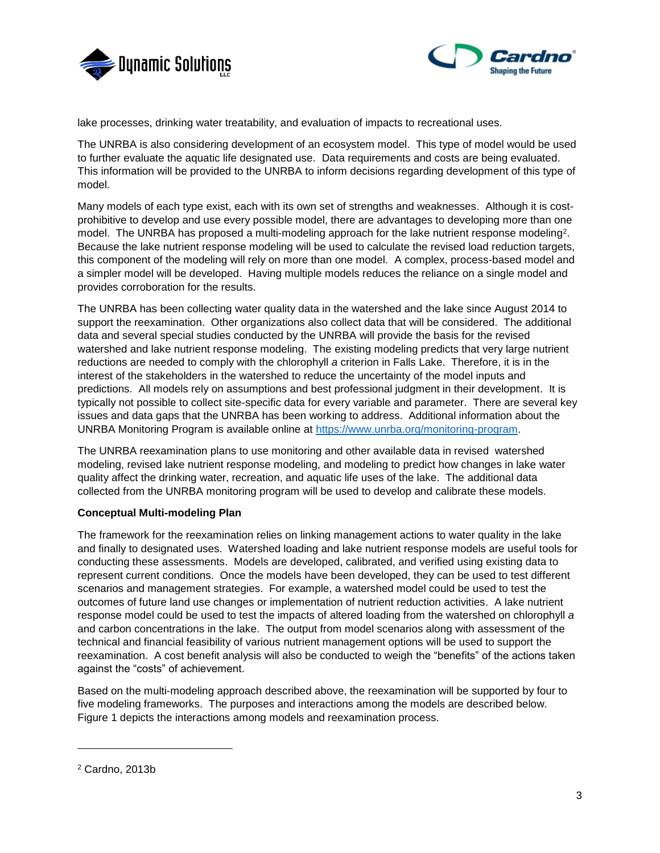



lake processes, drinking water treatability, and evaluation of impacts to recreational uses.

The UNRBA is also considering development of an ecosystem model. This type of model would be used to further evaluate the aquatic life designated use. Data requirements and costs are being evaluated. This information will be provided to the UNRBA to inform decisions regarding development of this type of model.

Many models of each type exist, each with its own set of strengths and weaknesses. Although it is costprohibitive to develop and use every possible model, there are advantages to developing more than one model. The UNRBA has proposed a multi-modeling approach for the lake nutrient response modeling<sup>2</sup>. Because the lake nutrient response modeling will be used to calculate the revised load reduction targets, this component of the modeling will rely on more than one model. A complex, process-based model and a simpler model will be developed. Having multiple models reduces the reliance on a single model and provides corroboration for the results.

The UNRBA has been collecting water quality data in the watershed and the lake since August 2014 to support the reexamination. Other organizations also collect data that will be considered. The additional data and several special studies conducted by the UNRBA will provide the basis for the revised watershed and lake nutrient response modeling. The existing modeling predicts that very large nutrient reductions are needed to comply with the chlorophyll *a* criterion in Falls Lake. Therefore, it is in the interest of the stakeholders in the watershed to reduce the uncertainty of the model inputs and predictions. All models rely on assumptions and best professional judgment in their development. It is typically not possible to collect site-specific data for every variable and parameter. There are several key issues and data gaps that the UNRBA has been working to address. Additional information about the UNRBA Monitoring Program is available online at [https://www.unrba.org/monitoring-program.](https://www.unrba.org/monitoring-program)

The UNRBA reexamination plans to use monitoring and other available data in revised watershed modeling, revised lake nutrient response modeling, and modeling to predict how changes in lake water quality affect the drinking water, recreation, and aquatic life uses of the lake. The additional data collected from the UNRBA monitoring program will be used to develop and calibrate these models.

# **Conceptual Multi-modeling Plan**

The framework for the reexamination relies on linking management actions to water quality in the lake and finally to designated uses. Watershed loading and lake nutrient response models are useful tools for conducting these assessments. Models are developed, calibrated, and verified using existing data to represent current conditions. Once the models have been developed, they can be used to test different scenarios and management strategies. For example, a watershed model could be used to test the outcomes of future land use changes or implementation of nutrient reduction activities. A lake nutrient response model could be used to test the impacts of altered loading from the watershed on chlorophyll *a* and carbon concentrations in the lake. The output from model scenarios along with assessment of the technical and financial feasibility of various nutrient management options will be used to support the reexamination. A cost benefit analysis will also be conducted to weigh the "benefits" of the actions taken against the "costs" of achievement.

Based on the multi-modeling approach described above, the reexamination will be supported by four to five modeling frameworks. The purposes and interactions among the models are described below. Figure 1 depicts the interactions among models and reexamination process.

l

<sup>2</sup> Cardno, 2013b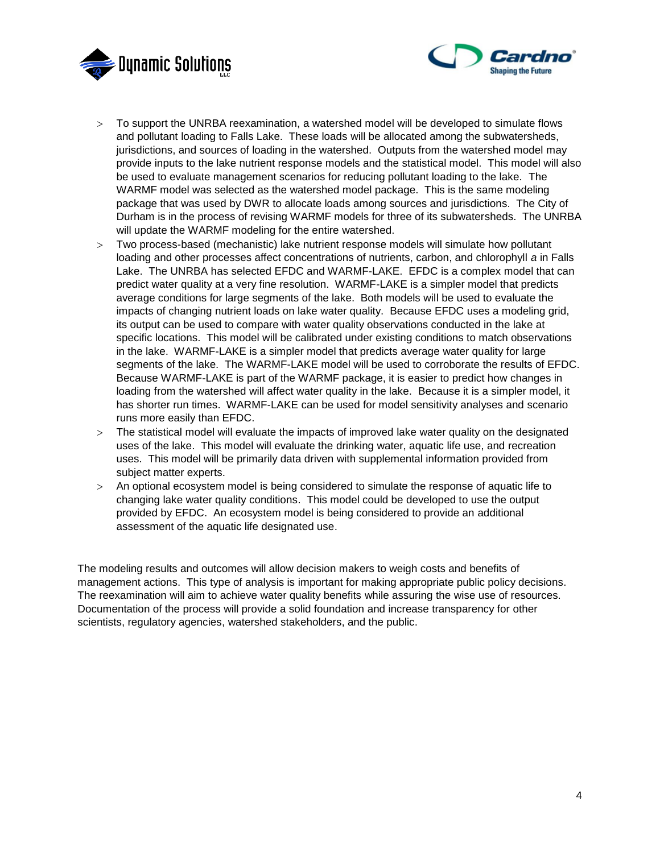



- To support the UNRBA reexamination, a watershed model will be developed to simulate flows and pollutant loading to Falls Lake. These loads will be allocated among the subwatersheds, jurisdictions, and sources of loading in the watershed. Outputs from the watershed model may provide inputs to the lake nutrient response models and the statistical model. This model will also be used to evaluate management scenarios for reducing pollutant loading to the lake. The WARMF model was selected as the watershed model package. This is the same modeling package that was used by DWR to allocate loads among sources and jurisdictions. The City of Durham is in the process of revising WARMF models for three of its subwatersheds. The UNRBA will update the WARMF modeling for the entire watershed.
- Two process-based (mechanistic) lake nutrient response models will simulate how pollutant loading and other processes affect concentrations of nutrients, carbon, and chlorophyll *a* in Falls Lake. The UNRBA has selected EFDC and WARMF-LAKE. EFDC is a complex model that can predict water quality at a very fine resolution. WARMF-LAKE is a simpler model that predicts average conditions for large segments of the lake. Both models will be used to evaluate the impacts of changing nutrient loads on lake water quality. Because EFDC uses a modeling grid, its output can be used to compare with water quality observations conducted in the lake at specific locations. This model will be calibrated under existing conditions to match observations in the lake. WARMF-LAKE is a simpler model that predicts average water quality for large segments of the lake. The WARMF-LAKE model will be used to corroborate the results of EFDC. Because WARMF-LAKE is part of the WARMF package, it is easier to predict how changes in loading from the watershed will affect water quality in the lake. Because it is a simpler model, it has shorter run times. WARMF-LAKE can be used for model sensitivity analyses and scenario runs more easily than EFDC.
- The statistical model will evaluate the impacts of improved lake water quality on the designated uses of the lake. This model will evaluate the drinking water, aquatic life use, and recreation uses. This model will be primarily data driven with supplemental information provided from subject matter experts.
- An optional ecosystem model is being considered to simulate the response of aquatic life to changing lake water quality conditions. This model could be developed to use the output provided by EFDC. An ecosystem model is being considered to provide an additional assessment of the aquatic life designated use.

The modeling results and outcomes will allow decision makers to weigh costs and benefits of management actions. This type of analysis is important for making appropriate public policy decisions. The reexamination will aim to achieve water quality benefits while assuring the wise use of resources. Documentation of the process will provide a solid foundation and increase transparency for other scientists, regulatory agencies, watershed stakeholders, and the public.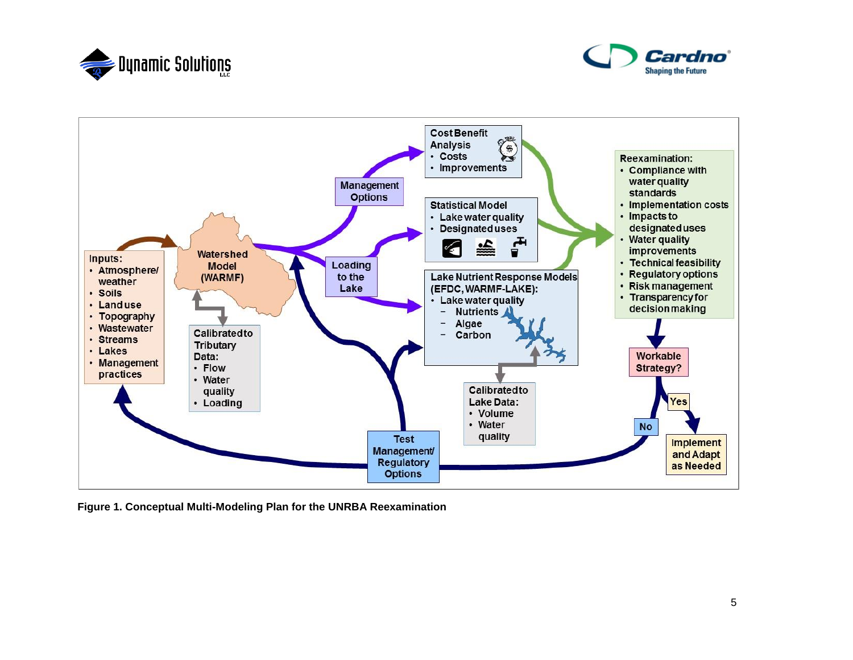





**Figure 1. Conceptual Multi-Modeling Plan for the UNRBA Reexamination**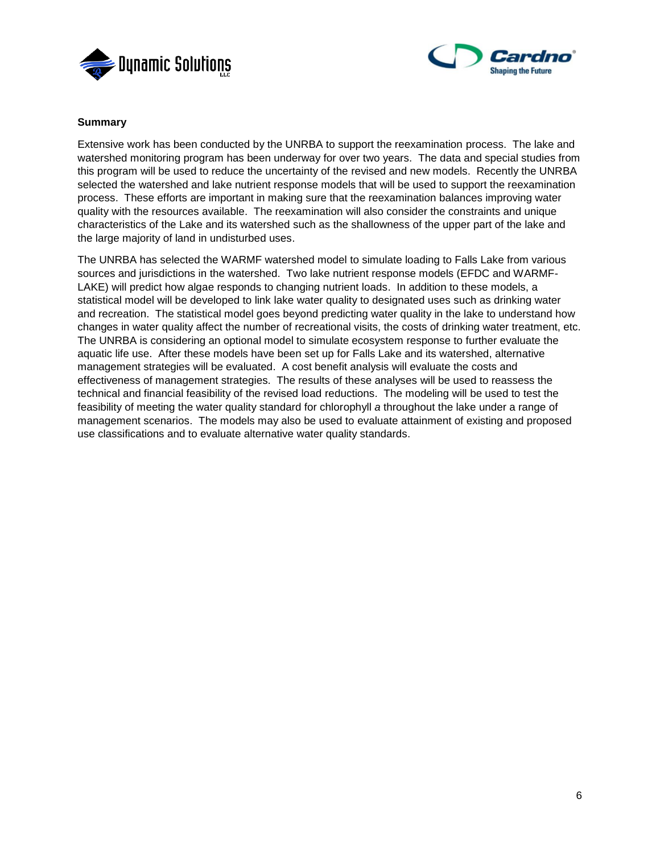



### **Summary**

Extensive work has been conducted by the UNRBA to support the reexamination process. The lake and watershed monitoring program has been underway for over two years. The data and special studies from this program will be used to reduce the uncertainty of the revised and new models. Recently the UNRBA selected the watershed and lake nutrient response models that will be used to support the reexamination process. These efforts are important in making sure that the reexamination balances improving water quality with the resources available. The reexamination will also consider the constraints and unique characteristics of the Lake and its watershed such as the shallowness of the upper part of the lake and the large majority of land in undisturbed uses.

The UNRBA has selected the WARMF watershed model to simulate loading to Falls Lake from various sources and jurisdictions in the watershed. Two lake nutrient response models (EFDC and WARMF-LAKE) will predict how algae responds to changing nutrient loads. In addition to these models, a statistical model will be developed to link lake water quality to designated uses such as drinking water and recreation. The statistical model goes beyond predicting water quality in the lake to understand how changes in water quality affect the number of recreational visits, the costs of drinking water treatment, etc. The UNRBA is considering an optional model to simulate ecosystem response to further evaluate the aquatic life use. After these models have been set up for Falls Lake and its watershed, alternative management strategies will be evaluated. A cost benefit analysis will evaluate the costs and effectiveness of management strategies. The results of these analyses will be used to reassess the technical and financial feasibility of the revised load reductions. The modeling will be used to test the feasibility of meeting the water quality standard for chlorophyll *a* throughout the lake under a range of management scenarios. The models may also be used to evaluate attainment of existing and proposed use classifications and to evaluate alternative water quality standards.